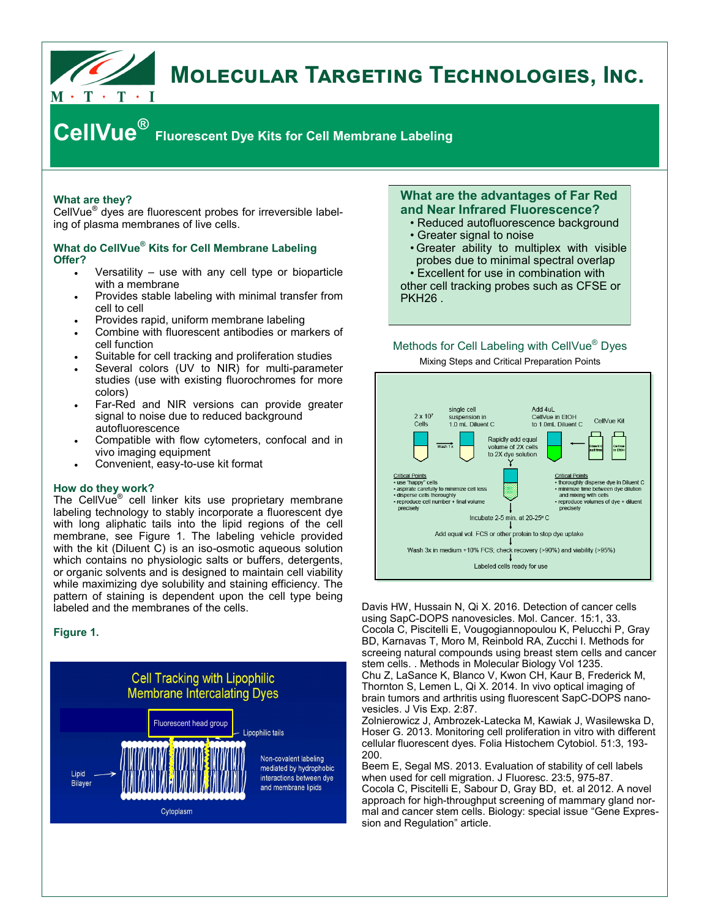

# **MOLECULAR TARGETING TECHNOLOGIES, INC.**

# **CellVue® Fluorescent Dye Kits for Cell Membrane Labeling**

# **What are they?**

CellVue® dyes are fluorescent probes for irreversible labeling of plasma membranes of live cells.

# **What do CellVue® Kits for Cell Membrane Labeling Offer?**

- Versatility use with any cell type or bioparticle with a membrane
- Provides stable labeling with minimal transfer from cell to cell
- Provides rapid, uniform membrane labeling
- Combine with fluorescent antibodies or markers of cell function
- Suitable for cell tracking and proliferation studies
- Several colors (UV to NIR) for multi-parameter studies (use with existing fluorochromes for more colors)
- Far-Red and NIR versions can provide greater signal to noise due to reduced background autofluorescence
- Compatible with flow cytometers, confocal and in vivo imaging equipment
- Convenient, easy-to-use kit format

#### **How do they work?**

The CellVue<sup>®</sup> cell linker kits use proprietary membrane labeling technology to stably incorporate a fluorescent dye with long aliphatic tails into the lipid regions of the cell membrane, see Figure 1. The labeling vehicle provided with the kit (Diluent C) is an iso-osmotic aqueous solution which contains no physiologic salts or buffers, detergents, or organic solvents and is designed to maintain cell viability while maximizing dye solubility and staining efficiency. The pattern of staining is dependent upon the cell type being labeled and the membranes of the cells.

## **Figure 1.**



# **What are the advantages of Far Red and Near Infrared Fluorescence?**

- Reduced autofluorescence background
- Greater signal to noise
- Greater ability to multiplex with visible probes due to minimal spectral overlap • Excellent for use in combination with

other cell tracking probes such as CFSE or PKH26 .

# Methods for Cell Labeling with CellVue® Dyes Mixing Steps and Critical Preparation Points



Davis HW, Hussain N, Qi X. 2016. Detection of cancer cells using SapC-DOPS nanovesicles. Mol. Cancer. 15:1, 33. Cocola C, Piscitelli E, Vougogiannopoulou K, Pelucchi P, Gray BD, Karnavas T, Moro M, Reinbold RA, Zucchi I. Methods for screeing natural compounds using breast stem cells and cancer stem cells. . Methods in Molecular Biology Vol 1235.

Chu Z, LaSance K, Blanco V, Kwon CH, Kaur B, Frederick M, Thornton S, Lemen L, Qi X. 2014. In vivo optical imaging of brain tumors and arthritis using fluorescent SapC-DOPS nanovesicles. J Vis Exp. 2:87.

Zolnierowicz J, Ambrozek-Latecka M, Kawiak J, Wasilewska D, Hoser G. 2013. Monitoring cell proliferation in vitro with different cellular fluorescent dyes. Folia Histochem Cytobiol. 51:3, 193- 200.

Beem E, Segal MS. 2013. Evaluation of stability of cell labels when used for cell migration. J Fluoresc. 23:5, 975-87. Cocola C, Piscitelli E, Sabour D, Gray BD, et. al 2012. A novel approach for high-throughput screening of mammary gland normal and cancer stem cells. Biology: special issue "Gene Expression and Regulation" article.